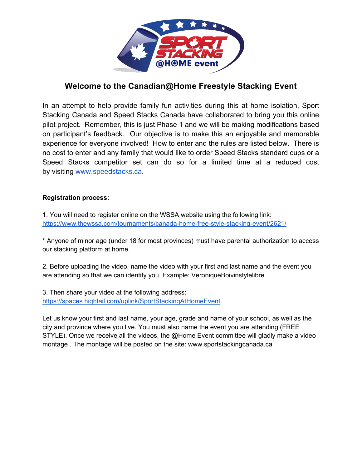

# **Welcome to the Canadian@Home Freestyle Stacking Event**

In an attempt to help provide family fun activities during this at home isolation, Sport Stacking Canada and Speed Stacks Canada have collaborated to bring you this online pilot project. Remember, this is just Phase 1 and we will be making modifications based on participant's feedback. Our objective is to make this an enjoyable and memorable experience for everyone involved! How to enter and the rules are listed below. There is no cost to enter and any family that would like to order Speed Stacks standard cups or a Speed Stacks competitor set can do so for a limited time at a reduced cost by visiting www.speedstacks.ca.

#### **Registration process:**

1. You will need to register online on the WSSA website using the following link: https://www.thewssa.com/tournaments/canada-home-free-style-stacking-event/2621/

\* Anyone of minor age (under 18 for most provinces) must have parental authorization to access our stacking platform at home.

2. Before uploading the video, name the video with your first and last name and the event you are attending so that we can identify you. Example: VeroniqueBoivinstylelibre

3. Then share your video at the following address: https://spaces.hightail.com/uplink/SportStackingAtHomeEvent.

Let us know your first and last name, your age, grade and name of your school, as well as the city and province where you live. You must also name the event you are attending (FREE STYLE). Once we receive all the videos, the @Home Event committee will gladly make a video montage . The montage will be posted on the site: www.sportstackingcanada.ca